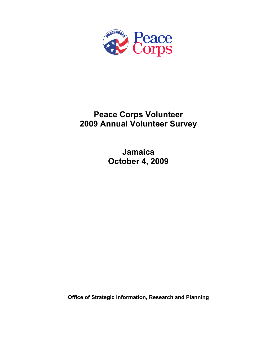

# **Peace Corps Volunteer 2009 Annual Volunteer Survey**

**Jamaica October 4, 2009** 

**Office of Strategic Information, Research and Planning**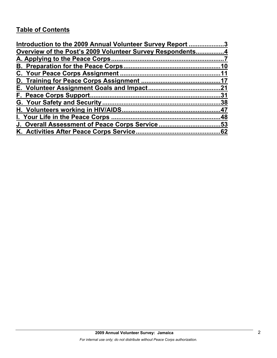# **Table of Contents**

| Introduction to the 2009 Annual Volunteer Survey Report 3 |     |
|-----------------------------------------------------------|-----|
| Overview of the Post's 2009 Volunteer Survey Respondents4 |     |
|                                                           |     |
|                                                           | 10  |
|                                                           |     |
|                                                           |     |
|                                                           |     |
|                                                           | .31 |
|                                                           |     |
|                                                           |     |
|                                                           |     |
| J. Overall Assessment of Peace Corps Service53            |     |
|                                                           |     |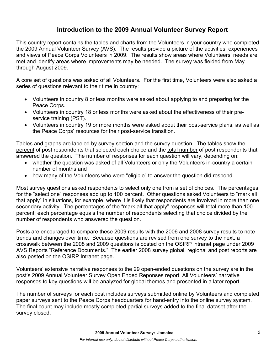## **Introduction to the 2009 Annual Volunteer Survey Report**

This country report contains the tables and charts from the Volunteers in your country who completed the 2009 Annual Volunteer Survey (AVS). The results provide a picture of the activities, experiences and views of Peace Corps Volunteers in 2009. The results show areas where Volunteers' needs are met and identify areas where improvements may be needed. The survey was fielded from May through August 2009.

A core set of questions was asked of all Volunteers. For the first time, Volunteers were also asked a series of questions relevant to their time in country:

- Volunteers in country 8 or less months were asked about applying to and preparing for the Peace Corps.
- Volunteers in country 18 or less months were asked about the effectiveness of their preservice training (PST).
- Volunteers in country 19 or more months were asked about their post-service plans, as well as the Peace Corps' resources for their post-service transition.

Tables and graphs are labeled by survey section and the survey question. The tables show the percent of post respondents that selected each choice and the total number of post respondents that answered the question. The number of responses for each question will vary, depending on:

- whether the question was asked of all Volunteers or only the Volunteers in-country a certain number of months and
- how many of the Volunteers who were "eligible" to answer the question did respond.

Most survey questions asked respondents to select only one from a set of choices. The percentages for the "select one" responses add up to 100 percent. Other questions asked Volunteers to "mark all that apply" in situations, for example, where it is likely that respondents are involved in more than one secondary activity. The percentages of the "mark all that apply" responses will total more than 100 percent; each percentage equals the number of respondents selecting that choice divided by the number of respondents who answered the question.

Posts are encouraged to compare these 2009 results with the 2006 and 2008 survey results to note trends and changes over time. Because questions are revised from one survey to the next, a crosswalk between the 2008 and 2009 questions is posted on the OSIRP intranet page under 2009 AVS Reports "Reference Documents." The earlier 2008 survey global, regional and post reports are also posted on the OSIRP Intranet page.

Volunteers' extensive narrative responses to the 29 open-ended questions on the survey are in the post's 2009 Annual Volunteer Survey Open Ended Reponses report. All Volunteers' narrative responses to key questions will be analyzed for global themes and presented in a later report.

The number of surveys for each post includes surveys submitted online by Volunteers and completed paper surveys sent to the Peace Corps headquarters for hand-entry into the online survey system. The final count may include mostly completed partial surveys added to the final dataset after the survey closed.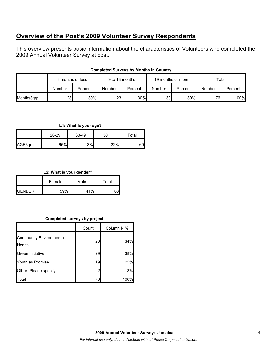## **Overview of the Post's 2009 Volunteer Survey Respondents**

This overview presents basic information about the characteristics of Volunteers who completed the 2009 Annual Volunteer Survey at post.

|            | 8 months or less |         | 9 to 18 months |         | 19 months or more |         | Total  |         |
|------------|------------------|---------|----------------|---------|-------------------|---------|--------|---------|
|            | Number           | Percent | Number         | Percent | Number            | Percent | Number | Percent |
| Months3grp | 23 <sub>l</sub>  | 30%     | <b>231</b>     | 30%     | 30 <sup>l</sup>   | 39%     | 76     | 100%    |

### **Completed Surveys by Months in Country**

## **L1: What is your age?**

|         | $20 - 29$ | 30-49 | 50+ | Total |
|---------|-----------|-------|-----|-------|
| AGE3grp | 65%       | 13%   | 22% | 69I   |

## **L2: What is your gender?**

|                 | Female | Male | Total |
|-----------------|--------|------|-------|
| <b>I</b> GENDER | 59%    | 41%  |       |

## **Completed surveys by project.**

|                                          | Count | Column N % |
|------------------------------------------|-------|------------|
| <b>Community Environmental</b><br>Health | 26    | 34%        |
| Green Initiative                         | 29    | 38%        |
| Youth as Promise                         | 19    | 25%        |
| Other. Please specify                    | 2     | 3%         |
| Total                                    | 76    | 100%       |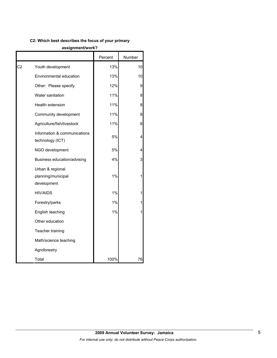## **C2: Which best describes the focus of your primary**

#### **assignment/work?**

|    |                                                       | Percent | Number |
|----|-------------------------------------------------------|---------|--------|
| C2 | Youth development                                     | 13%     | 10     |
|    | Environmental education                               | 13%     | 10     |
|    | Other: Please specify                                 | 12%     | 9      |
|    | Water sanitation                                      | 11%     | 8      |
|    | Health extension                                      | 11%     | 8      |
|    | Community development                                 | 11%     | 8      |
|    | Agriculture/fish/livestock                            | 11%     | 8      |
|    | Information & communications<br>technology (ICT)      | 5%      | Δ      |
|    | NGO development                                       | 5%      |        |
|    | Business education/advising                           | 4%      | 3      |
|    | Urban & regional<br>planning/municipal<br>development | 1%      |        |
|    | HIV/AIDS                                              | 1%      |        |
|    | Forestry/parks                                        | 1%      |        |
|    | English teaching                                      | 1%      |        |
|    | Other education                                       |         |        |
|    | Teacher training                                      |         |        |
|    | Math/science teaching                                 |         |        |
|    | Agroforestry                                          |         |        |
|    | Total                                                 | 100%    | 76     |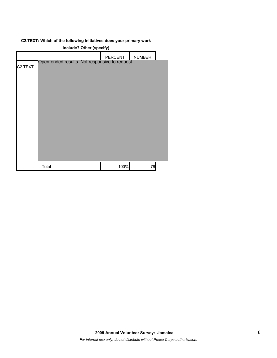## **C2.TEXT: Which of the following initiatives does your primary work**

| include? Other (specify) |                                                |         |        |  |
|--------------------------|------------------------------------------------|---------|--------|--|
|                          |                                                | PERCENT | NUMBER |  |
| C <sub>2</sub> .TEXT     | Open-ended results. Not responsive to request. |         |        |  |
|                          |                                                |         |        |  |
|                          |                                                |         |        |  |
|                          |                                                |         |        |  |
|                          |                                                |         |        |  |
|                          |                                                |         |        |  |
|                          |                                                |         |        |  |
|                          |                                                |         |        |  |
|                          |                                                |         |        |  |
|                          |                                                |         |        |  |
|                          |                                                |         |        |  |
|                          |                                                |         |        |  |
|                          | Total                                          | 100%    | 76     |  |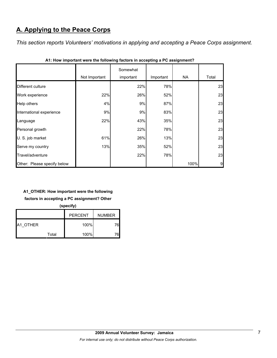# **A. Applying to the Peace Corps**

*This section reports Volunteers' motivations in applying and accepting a Peace Corps assignment.* 

|                             | Not Important | Somewhat<br>important | Important | NA   | Total |
|-----------------------------|---------------|-----------------------|-----------|------|-------|
| Different culture           |               | 22%                   | 78%       |      | 23    |
| Work experience             | 22%           | 26%                   | 52%       |      | 23    |
| Help others                 | 4%            | 9%                    | 87%       |      | 23    |
| International experience    | 9%            | 9%                    | 83%       |      | 23    |
| Language                    | 22%           | 43%                   | 35%       |      | 23    |
| Personal growth             |               | 22%                   | 78%       |      | 23    |
| U. S. job market            | 61%           | 26%                   | 13%       |      | 23    |
| Serve my country            | 13%           | 35%                   | 52%       |      | 23    |
| Travel/adventure            |               | 22%                   | 78%       |      | 23    |
| Other: Please specify below |               |                       |           | 100% | 9     |

| A1: How important were the following factors in accepting a PC assignment? |  |  |
|----------------------------------------------------------------------------|--|--|
|                                                                            |  |  |

## **A1\_OTHER: How important were the following**

**factors in accepting a PC assignment? Other** 

**(specify)**

|                 |       | <b>PERCENT</b> | <b>NUMBER</b> |
|-----------------|-------|----------------|---------------|
| <b>A1 OTHER</b> |       | 100%           |               |
|                 | Total | 100%           |               |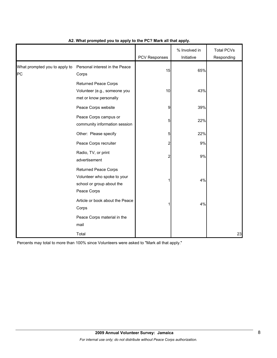|                                     |                                                                                                        | <b>PCV Responses</b> | % Involved in<br>Initiative | <b>Total PCVs</b><br>Responding |
|-------------------------------------|--------------------------------------------------------------------------------------------------------|----------------------|-----------------------------|---------------------------------|
| What prompted you to apply to<br>PC | Personal interest in the Peace<br>Corps                                                                | 15                   | 65%                         |                                 |
|                                     | <b>Returned Peace Corps</b><br>Volunteer (e.g., someone you<br>met or know personally                  | 10                   | 43%                         |                                 |
|                                     | Peace Corps website                                                                                    | 9                    | 39%                         |                                 |
|                                     | Peace Corps campus or<br>community information session                                                 | 5                    | 22%                         |                                 |
|                                     | Other: Please specify                                                                                  | 5                    | 22%                         |                                 |
|                                     | Peace Corps recruiter                                                                                  | $\overline{c}$       | $9\%$                       |                                 |
|                                     | Radio, TV, or print<br>advertisement                                                                   | $\overline{2}$       | 9%                          |                                 |
|                                     | <b>Returned Peace Corps</b><br>Volunteer who spoke to your<br>school or group about the<br>Peace Corps | 1                    | 4%                          |                                 |
|                                     | Article or book about the Peace<br>Corps                                                               | 1                    | 4%                          |                                 |
|                                     | Peace Corps material in the<br>mail                                                                    |                      |                             |                                 |
|                                     | Total                                                                                                  |                      |                             | 23                              |

## **A2. What prompted you to apply to the PC? Mark all that apply.**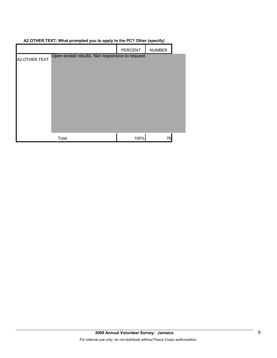| AZ.OTTIER.TEAT. What prompted you to apply to the FOT Other (specify) |                                                |                |               |  |
|-----------------------------------------------------------------------|------------------------------------------------|----------------|---------------|--|
|                                                                       |                                                | <b>PERCENT</b> | <b>NUMBER</b> |  |
| A2.OTHER.TEXT                                                         | Open-ended results. Not responsive to request. |                |               |  |
|                                                                       | Total                                          | 100%           | 76            |  |

## **A2.OTHER.TEXT: What prompted you to apply to the PC? Other (specify)**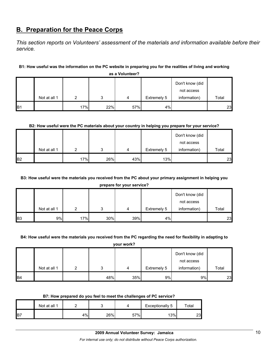## **B. Preparation for the Peace Corps**

*This section reports on Volunteers' assessment of the materials and information available before their service.* 

## **B1: How useful was the information on the PC website in preparing you for the realities of living and working**

|            |              |     |     |     |             | Don't know (did<br>not access |       |
|------------|--------------|-----|-----|-----|-------------|-------------------------------|-------|
|            | Not at all 1 | ◠   | າ   | 4   | Extremely 5 | information)                  | Total |
| <b>B</b> 1 |              | 17% | 22% | 57% | 4%          |                               | 23    |

**as a Volunteer?**

### **B2: How useful were the PC materials about your country in helping you prepare for your service?**

|                |              |     |     |     |             | Don't know (did |       |
|----------------|--------------|-----|-----|-----|-------------|-----------------|-------|
|                |              |     |     |     |             | not access      |       |
|                | Not at all 1 | ◠   | 2   | 4   | Extremely 5 | information)    | Total |
| B <sub>2</sub> |              | 17% | 26% | 43% | 13%         |                 | 23    |

## **B3: How useful were the materials you received from the PC about your primary assignment in helping you**

**prepare for your service?**

|                |              |     |     |     |             | Don't know (did |       |
|----------------|--------------|-----|-----|-----|-------------|-----------------|-------|
|                |              |     |     |     |             | not access      |       |
|                | Not at all 1 |     | 2   | 4   | Extremely 5 | information)    | Total |
| B <sub>3</sub> | 9%           | 17% | 30% | 39% | 4%          |                 | 23    |

#### **B4: How useful were the materials you received from the PC regarding the need for flexibility in adapting to**

**your work?**

|                 |              |     |     |             | Don't know (did |       |
|-----------------|--------------|-----|-----|-------------|-----------------|-------|
|                 |              |     |     |             | not access      |       |
|                 | Not at all 1 |     | 4   | Extremely 5 | information)    | Total |
| IB <sub>4</sub> |              | 48% | 35% | 9%          | 9%              | 23    |

#### **B7: How prepared do you feel to meet the challenges of PC service?**

|                 | Not at all 1 |       |     |     | Exceptionally 5 | $\tau$ otal |
|-----------------|--------------|-------|-----|-----|-----------------|-------------|
| IB <sub>7</sub> |              | $4\%$ | 26% | 57% | 13%             | 23          |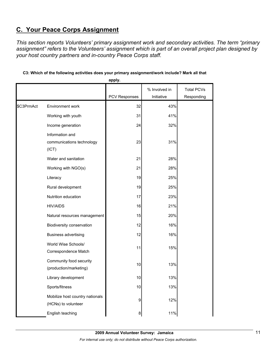# **C. Your Peace Corps Assignment**

*This section reports Volunteers' primary assignment work and secondary activities. The term "primary assignment" refers to the Volunteers' assignment which is part of an overall project plan designed by your host country partners and in-country Peace Corps staff.* 

|            |                                                        | apply.               |               |                   |
|------------|--------------------------------------------------------|----------------------|---------------|-------------------|
|            |                                                        |                      | % Involved in | <b>Total PCVs</b> |
|            |                                                        | <b>PCV Responses</b> | Initiative    | Responding        |
| \$C3PrmAct | Environment work                                       | 32                   | 43%           |                   |
|            | Working with youth                                     | 31                   | 41%           |                   |
|            | Income generation                                      | 24                   | 32%           |                   |
|            | Information and<br>communications technology<br>(ICT)  | 23                   | 31%           |                   |
|            | Water and sanitation                                   | 21                   | 28%           |                   |
|            | Working with NGO(s)                                    | 21                   | 28%           |                   |
|            | Literacy                                               | 19                   | 25%           |                   |
|            | Rural development                                      | 19                   | 25%           |                   |
|            | Nutrition education                                    | 17                   | 23%           |                   |
|            | <b>HIV/AIDS</b>                                        | 16                   | 21%           |                   |
|            | Natural resources management                           | 15                   | 20%           |                   |
|            | Biodiversity conservation                              | 12                   | 16%           |                   |
|            | <b>Business advertising</b>                            | 12                   | 16%           |                   |
|            | World Wise Schools/<br>Correspondence Match            | 11                   | 15%           |                   |
|            | Community food security<br>(production/marketing)      | 10                   | 13%           |                   |
|            | Library development                                    | 10                   | 13%           |                   |
|            | Sports/fitness                                         | 10                   | 13%           |                   |
|            | Mobilize host country nationals<br>(HCNs) to volunteer | 9                    | 12%           |                   |
|            | English teaching                                       | 8                    | 11%           |                   |

## **C3: Which of the following activities does your primary assignment/work include? Mark all that**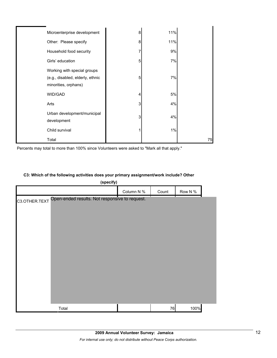| Microenterprise development                                                             | 8 | 11% |    |
|-----------------------------------------------------------------------------------------|---|-----|----|
| Other: Please specify                                                                   | 8 | 11% |    |
| Household food security                                                                 | 7 | 9%  |    |
| Girls' education                                                                        | 5 | 7%  |    |
| Working with special groups<br>(e.g., disabled, elderly, ethnic<br>minorities, orphans) | 5 | 7%  |    |
| WID/GAD                                                                                 | 4 | 5%  |    |
| Arts                                                                                    | 3 | 4%  |    |
| Urban development/municipal<br>development                                              | 3 | 4%  |    |
| Child survival                                                                          |   | 1%  |    |
| Total                                                                                   |   |     | 75 |

Percents may total to more than 100% since Volunteers were asked to "Mark all that apply."

## **C3: Which of the following activities does your primary assignment/work include? Other**

| (specify)                                                       |            |       |         |  |
|-----------------------------------------------------------------|------------|-------|---------|--|
|                                                                 | Column N % | Count | Row N % |  |
| Open-ended results. Not responsive to request.<br>C3.OTHER.TEXT |            |       |         |  |
| Total                                                           |            | 76    | 100%    |  |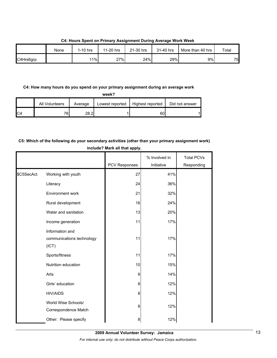|           | None | $1-10$ hrs | 11-20 hrs | 21-30 hrs | 31-40 hrs | More than 40 hrs | Total |
|-----------|------|------------|-----------|-----------|-----------|------------------|-------|
| C4Hrs6grp |      | 11%        | 27%       | 24%       | 29%       | 9%               | 75    |

**C4: Hours Spent on Primary Assignment During Average Work Week**

### **C4: How many hours do you spend on your primary assignment during an average work**

**week?**

|                | All Volunteers | Average | Lowest reported | Highest reported | Did not answer |
|----------------|----------------|---------|-----------------|------------------|----------------|
| C <sub>4</sub> | 76.            | ററ വ    |                 | 60               |                |

## **C5: Which of the following do your secondary activities (other than your primary assignment work) include? Mark all that apply.**

|            |                                                       | PCV Responses | % Involved in<br>Initiative | <b>Total PCVs</b><br>Responding |
|------------|-------------------------------------------------------|---------------|-----------------------------|---------------------------------|
| \$C5SecAct | Working with youth                                    | 27            | 41%                         |                                 |
|            | Literacy                                              | 24            | 36%                         |                                 |
|            | Environment work                                      | 21            | 32%                         |                                 |
|            | Rural development                                     | 16            | 24%                         |                                 |
|            | Water and sanitation                                  | 13            | 20%                         |                                 |
|            | Income generation                                     | 11            | 17%                         |                                 |
|            | Information and<br>communications technology<br>(ICT) | 11            | 17%                         |                                 |
|            | Sports/fitness                                        | 11            | 17%                         |                                 |
|            | Nutrition education                                   | 10            | 15%                         |                                 |
|            | Arts                                                  | 9             | 14%                         |                                 |
|            | Girls' education                                      | 8             | 12%                         |                                 |
|            | <b>HIV/AIDS</b>                                       | 8             | 12%                         |                                 |
|            | World Wise Schools/<br>Correspondence Match           | 8             | 12%                         |                                 |
|            | Other: Please specify                                 | 8             | 12%                         |                                 |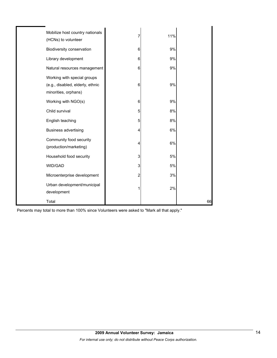| Mobilize host country nationals<br>(HCNs) to volunteer                                  | 7                       | 11% |    |
|-----------------------------------------------------------------------------------------|-------------------------|-----|----|
| Biodiversity conservation                                                               | 6                       | 9%  |    |
| Library development                                                                     | 6                       | 9%  |    |
| Natural resources management                                                            | 6                       | 9%  |    |
| Working with special groups<br>(e.g., disabled, elderly, ethnic<br>minorities, orphans) | 6                       | 9%  |    |
| Working with NGO(s)                                                                     | 6                       | 9%  |    |
| Child survival                                                                          | 5                       | 8%  |    |
| English teaching                                                                        | 5                       | 8%  |    |
| <b>Business advertising</b>                                                             | 4                       | 6%  |    |
| Community food security<br>(production/marketing)                                       | 4                       | 6%  |    |
| Household food security                                                                 | 3                       | 5%  |    |
| WID/GAD                                                                                 | 3                       | 5%  |    |
| Microenterprise development                                                             | $\overline{\mathbf{c}}$ | 3%  |    |
| Urban development/municipal<br>development                                              | 1                       | 2%  |    |
| Total                                                                                   |                         |     | 66 |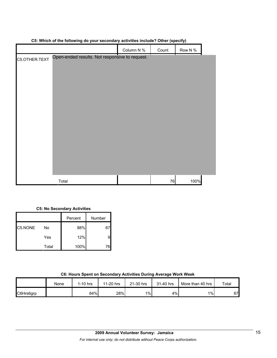|               |                                                | Column N % | Count | Row N % |  |
|---------------|------------------------------------------------|------------|-------|---------|--|
| C5.OTHER.TEXT | Open-ended results. Not responsive to request. |            |       |         |  |
|               | Total                                          |            | 76    | 100%    |  |

## **C5: Which of the following do your secondary activities include? Other (specify)**

## **C5: No Secondary Activities**

|         |       | Percent | Number |
|---------|-------|---------|--------|
| C5.NONE | No    | 88%     | 67     |
|         | Yes   | 12%     | 9      |
|         | Total | 100%    | 76     |

|  |  |  | C6: Hours Spent on Secondary Activities During Average Work Week |
|--|--|--|------------------------------------------------------------------|

|           | None | 1-10 hrs | $1-20$ hrs<br>44 | 21-30 hrs | 31-40 hrs | More than 40 hrs | Total |
|-----------|------|----------|------------------|-----------|-----------|------------------|-------|
| C6Hrs6grp |      | 64%      | 28%              | $1\%$     | 4%        | $1\%$            | 67    |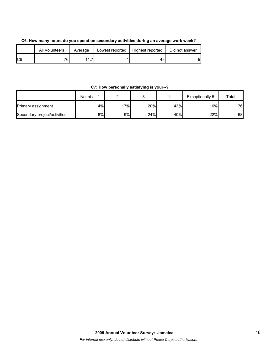| C6. How many hours do you spend on secondary activities during an average work week? |  |
|--------------------------------------------------------------------------------------|--|
|--------------------------------------------------------------------------------------|--|

|     | All Volunteers | Average | Lowest reported | Highest reported | Did not answer |
|-----|----------------|---------|-----------------|------------------|----------------|
| IC6 | 761.           | ⇁       |                 |                  | 91             |

## **C7: How personally satisfying is your--?**

|                              | Not at all 1 |     |     |     | Exceptionally 5 | Total |
|------------------------------|--------------|-----|-----|-----|-----------------|-------|
| Primary assignment           | 4%           | 17% | 20% | 43% | 16%             | 76    |
| Secondary project/activities | 6%           | 9%l | 24% | 40% | 22%             | 68    |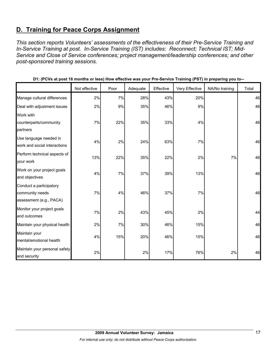## **D. Training for Peace Corps Assignment**

*This section reports Volunteers' assessments of the effectiveness of their Pre-Service Training and In-Service Training at post. In-Service Training (IST) includes: Reconnect; Technical IST; Mid-Service and Close of Service conferences; project management/leadership conferences; and other post-sponsored training sessions.* 

|                                                                       | Not effective | Poor  | Adequate | Effective | Very Effective | NA/No training | Total |
|-----------------------------------------------------------------------|---------------|-------|----------|-----------|----------------|----------------|-------|
| Manage cultural differences                                           | 2%            | 7%    | 28%      | 43%       | 20%            |                | 46    |
| Deal with adjustment issues                                           | 2%            | 9%    | 35%      | 46%       | 9%             |                | 46    |
| Work with<br>counterparts/community<br>partners                       | 7%            | 22%   | 35%      | 33%       | 4%             |                | 46    |
| Use language needed in<br>work and social interactions                | 4%            | 2%    | 24%      | 63%       | 7%             |                | 46    |
| Perform technical aspects of<br>your work                             | 13%           | 22%   | 35%      | 22%       | 2%             | 7%             | 46    |
| Work on your project goals<br>and objectives                          | 4%            | $7\%$ | 37%      | 39%       | 13%            |                | 46    |
| Conduct a participatory<br>community needs<br>assessment (e.g., PACA) | 7%            | 4%    | 46%      | 37%       | 7%             |                | 46    |
| Monitor your project goals<br>and outcomes                            | 7%            | 2%    | 43%      | 45%       | 2%             |                | 44    |
| Maintain your physical health                                         | 2%            | 7%    | 30%      | 46%       | 15%            |                | 46    |
| Maintain your<br>mental/emotional health                              | 4%            | 15%   | 20%      | 46%       | 15%            |                | 46    |
| Maintain your personal safety<br>and security                         | 2%            |       | 2%       | 17%       | 76%            | 2%             | 46    |

**D1: (PCVs at post 18 months or less) How effective was your Pre-Service Training (PST) in preparing you to--**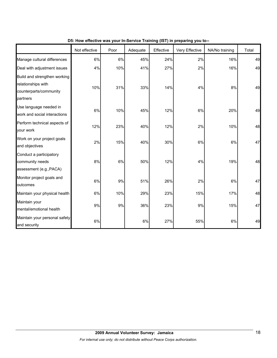|                                                                                          | Not effective | Poor | Adequate | Effective | Very Effective | NA/No training | Total |
|------------------------------------------------------------------------------------------|---------------|------|----------|-----------|----------------|----------------|-------|
| Manage cultural differences                                                              | 6%            | 6%   | 45%      | 24%       | 2%             | 16%            | 49    |
| Deal with adjustment issues                                                              | 4%            | 10%  | 41%      | 27%       | 2%             | 16%            | 49    |
| Build and strengthen working<br>relationships with<br>counterparts/community<br>partners | 10%           | 31%  | 33%      | 14%       | 4%             | 8%             | 49    |
| Use language needed in<br>work and social interactions                                   | 6%            | 10%  | 45%      | 12%       | 6%             | 20%            | 49    |
| Perform technical aspects of<br>your work                                                | 12%           | 23%  | 40%      | 12%       | 2%             | 10%            | 48    |
| Work on your project goals<br>and objectives                                             | 2%            | 15%  | 40%      | 30%       | 6%             | 6%             | 47    |
| Conduct a participatory<br>community needs<br>assessment (e.g., PACA)                    | 8%            | 6%   | 50%      | 12%       | 4%             | 19%            | 48    |
| Monitor project goals and<br>outcomes                                                    | 6%            | 9%   | 51%      | 26%       | 2%             | 6%             | 47    |
| Maintain your physical health                                                            | 6%            | 10%  | 29%      | 23%       | 15%            | 17%            | 48    |
| Maintain your<br>mental/emotional health                                                 | 9%            | 9%   | 36%      | 23%       | 9%             | 15%            | 47    |
| Maintain your personal safety<br>and security                                            | $6\%$         |      | $6\%$    | 27%       | 55%            | 6%             | 49    |

**D5: How effective was your In-Service Training (IST) in preparing you to--**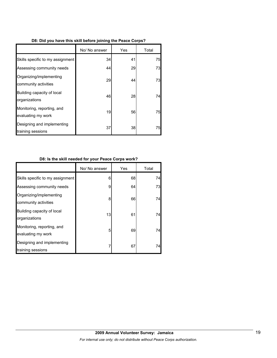|  | D8: Did you have this skill before joining the Peace Corps? |  |
|--|-------------------------------------------------------------|--|
|  |                                                             |  |

|                                                  | No/ No answer | Yes | Total |
|--------------------------------------------------|---------------|-----|-------|
| Skills specific to my assignment                 | 34            | 41  | 75    |
| Assessing community needs                        | 44            | 29  | 73    |
| Organizing/implementing<br>community activities  | 29            | 44  | 73    |
| Building capacity of local<br>organizations      | 46            | 28  | 74    |
| Monitoring, reporting, and<br>evaluating my work | 19            | 56  | 75    |
| Designing and implementing<br>training sessions  | 37            | 38  | 75    |

## **D8: Is the skill needed for your Peace Corps work?**

|                                                  | No/ No answer | Yes | Total |
|--------------------------------------------------|---------------|-----|-------|
| Skills specific to my assignment                 | 6             | 68  | 74    |
| Assessing community needs                        | 9             | 64  | 73    |
| Organizing/implementing<br>community activities  | 8             | 66  | 74    |
| Building capacity of local<br>organizations      | 13            | 61  | 74    |
| Monitoring, reporting, and<br>evaluating my work | 5             | 69  | 74    |
| Designing and implementing<br>training sessions  | 7             | 67  | 74    |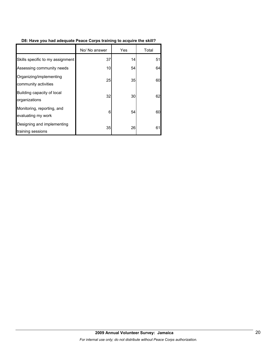## **D8: Have you had adequate Peace Corps training to acquire the skill?**

|                                                  | No/ No answer | Yes | Total |
|--------------------------------------------------|---------------|-----|-------|
| Skills specific to my assignment                 | 37            | 14  | 51    |
| Assessing community needs                        | 10            | 54  | 64    |
| Organizing/implementing<br>community activities  | 25            | 35  | 60    |
| Building capacity of local<br>organizations      | 32            | 30  | 62    |
| Monitoring, reporting, and<br>evaluating my work | 6             | 54  | 60    |
| Designing and implementing<br>training sessions  | 35            | 26  | 61    |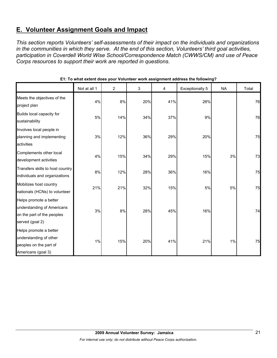## **E. Volunteer Assignment Goals and Impact**

*This section reports Volunteers' self-assessments of their impact on the individuals and organizations in the communities in which they serve. At the end of this section, Volunteers' third goal activities, participation in Coverdell World Wise School/Correspondence Match (CWWS/CM) and use of Peace Corps resources to support their work are reported in questions.* 

|                                                                                                       | Not at all 1 | $\overline{c}$ | 3   | 4   | Exceptionally 5 | <b>NA</b> | Total |
|-------------------------------------------------------------------------------------------------------|--------------|----------------|-----|-----|-----------------|-----------|-------|
| Meets the objectives of the<br>project plan                                                           | 4%           | 8%             | 20% | 41% | 28%             |           | 76    |
| Builds local capacity for<br>sustainability                                                           | 5%           | 14%            | 34% | 37% | 9%              |           | 76    |
| Involves local people in<br>planning and implementing<br>activities                                   | 3%           | 12%            | 36% | 29% | 20%             |           | 75    |
| Complements other local<br>development activities                                                     | 4%           | 15%            | 34% | 29% | 15%             | 3%        | 73    |
| Transfers skills to host country<br>individuals and organizations                                     | 8%           | 12%            | 28% | 36% | 16%             |           | 75    |
| Mobilizes host country<br>nationals (HCNs) to volunteer                                               | 21%          | 21%            | 32% | 15% | $5%$            | 5%        | 75    |
| Helps promote a better<br>understanding of Americans<br>on the part of the peoples<br>served (goal 2) | 3%           | 8%             | 28% | 45% | 16%             |           | 74    |
| Helps promote a better<br>understanding of other<br>peoples on the part of<br>Americans (goal 3)      | 1%           | 15%            | 20% | 41% | 21%             | 1%        | 75    |

**E1: To what extent does your Volunteer work assignment address the following?**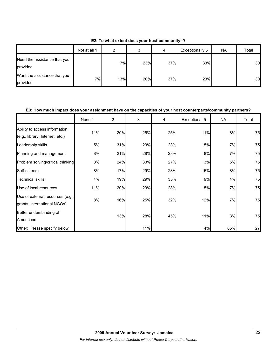|                                          | Not at all 1 | ົ   | ◠<br>c | 4   | Exceptionally 5 | <b>NA</b> | Total |
|------------------------------------------|--------------|-----|--------|-----|-----------------|-----------|-------|
| Need the assistance that you<br>provided |              | 7%  | 23%    | 37% | 33%             |           | 30    |
| Want the assistance that you<br>provided | 7%           | 13% | 20%    | 37% | 23%             |           | 30    |

**E2: To what extent does your host community--?**

### **E3: How much impact does your assignment have on the capacities of your host counterparts/community partners?**

|                                                                  | None 1 | 2   | 3   | 4   | Exceptional 5 | <b>NA</b> | Total |
|------------------------------------------------------------------|--------|-----|-----|-----|---------------|-----------|-------|
| Ability to access information<br>(e.g., library, Internet, etc.) | 11%    | 20% | 25% | 25% | 11%           | 8%        | 75    |
| Leadership skills                                                | 5%     | 31% | 29% | 23% | 5%            | 7%        | 75    |
| Planning and management                                          | 8%     | 21% | 28% | 28% | 8%            | 7%        | 75    |
| Problem solving/critical thinking                                | 8%     | 24% | 33% | 27% | 3%            | 5%        | 75    |
| Self-esteem                                                      | 8%     | 17% | 29% | 23% | 15%           | 8%        | 75    |
| <b>Technical skills</b>                                          | 4%     | 19% | 29% | 35% | 9%            | 4%        | 75    |
| Use of local resources                                           | 11%    | 20% | 29% | 28% | 5%            | 7%        | 75    |
| Use of external resources (e.g.,<br>grants, international NGOs)  | 8%     | 16% | 25% | 32% | 12%           | 7%        | 75    |
| Better understanding of<br>Americans                             |        | 13% | 28% | 45% | 11%           | 3%        | 75    |
| Other: Please specify below                                      |        |     | 11% |     | 4%            | 85%       | 27    |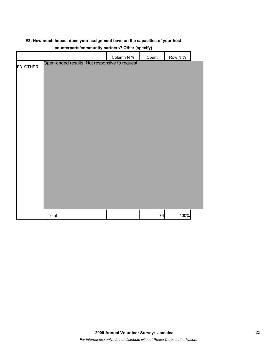|  |  | E3: How much impact does your assignment have on the capacities of your host |  |
|--|--|------------------------------------------------------------------------------|--|
|  |  |                                                                              |  |

|          |                                                | Column N % | Count      | Row N % |  |
|----------|------------------------------------------------|------------|------------|---------|--|
| E3_OTHER | Open-ended results. Not responsive to request. |            |            |         |  |
|          |                                                |            |            |         |  |
|          |                                                |            |            |         |  |
|          |                                                |            |            |         |  |
|          |                                                |            |            |         |  |
|          |                                                |            |            |         |  |
|          |                                                |            |            |         |  |
|          |                                                |            |            |         |  |
|          |                                                |            |            |         |  |
|          |                                                |            |            |         |  |
|          |                                                |            |            |         |  |
|          |                                                |            |            |         |  |
|          |                                                |            |            |         |  |
|          |                                                |            |            |         |  |
|          |                                                |            |            |         |  |
|          |                                                |            |            |         |  |
|          |                                                |            |            |         |  |
|          |                                                |            |            |         |  |
|          |                                                |            |            |         |  |
|          | Total                                          |            | ${\bf 76}$ | 100%    |  |

## **counterparts/community partners? Other (specify)**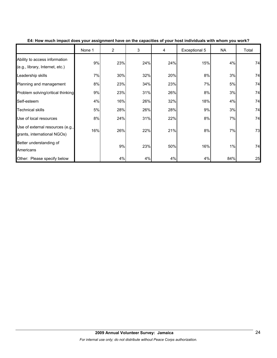|                                                                  | None 1 | $\overline{2}$ | 3   | 4   | Exceptional 5 | <b>NA</b> | Total |
|------------------------------------------------------------------|--------|----------------|-----|-----|---------------|-----------|-------|
| Ability to access information<br>(e.g., library, Internet, etc.) | 9%     | 23%            | 24% | 24% | 15%           | 4%        | 74    |
| Leadership skills                                                | 7%     | 30%            | 32% | 20% | 8%            | 3%        | 74    |
| Planning and management                                          | 8%     | 23%            | 34% | 23% | 7%            | 5%        | 74    |
| Problem solving/critical thinking                                | 9%     | 23%            | 31% | 26% | 8%            | 3%        | 74    |
| Self-esteem                                                      | 4%     | 16%            | 26% | 32% | 18%           | 4%        | 74    |
| <b>Technical skills</b>                                          | 5%     | 28%            | 26% | 28% | 9%            | 3%        | 74    |
| Use of local resources                                           | 8%     | 24%            | 31% | 22% | 8%            | 7%        | 74    |
| Use of external resources (e.g.,<br>grants, international NGOs)  | 16%    | 26%            | 22% | 21% | 8%            | 7%        | 73    |
| Better understanding of<br>Americans                             |        | 9%             | 23% | 50% | 16%           | 1%        | 74    |
| Other: Please specify below                                      |        | 4%             | 4%  | 4%  | 4%            | 84%       | 25    |

**E4: How much impact does your assignment have on the capacities of your host individuals with whom you work?**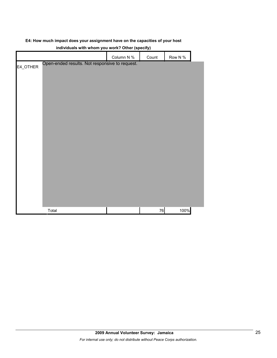|  |  | E4: How much impact does your assignment have on the capacities of your host |
|--|--|------------------------------------------------------------------------------|
|--|--|------------------------------------------------------------------------------|

|          |                                                | $\cdots$   |       |         |  |
|----------|------------------------------------------------|------------|-------|---------|--|
|          |                                                | Column N % | Count | Row N % |  |
| E4_OTHER | Open-ended results. Not responsive to request. |            |       |         |  |
|          |                                                |            |       |         |  |
|          |                                                |            |       |         |  |
|          |                                                |            |       |         |  |
|          |                                                |            |       |         |  |
|          |                                                |            |       |         |  |
|          |                                                |            |       |         |  |
|          |                                                |            |       |         |  |
|          |                                                |            |       |         |  |
|          |                                                |            |       |         |  |
|          |                                                |            |       |         |  |
|          |                                                |            |       |         |  |
|          |                                                |            |       |         |  |
|          |                                                |            |       |         |  |
|          |                                                |            |       |         |  |
|          |                                                |            |       |         |  |
|          |                                                |            |       |         |  |
|          |                                                |            |       |         |  |
|          |                                                |            |       |         |  |
|          | Total                                          |            | 76    | 100%    |  |

## **individuals with whom you work? Other (specify)**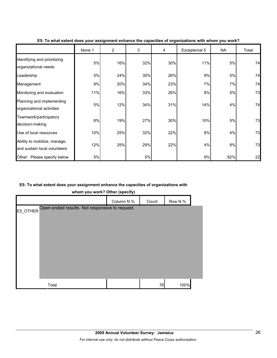|                                                              | None 1 | $\overline{2}$ | 3   | 4   | Exceptional 5 | NA  | Total |
|--------------------------------------------------------------|--------|----------------|-----|-----|---------------|-----|-------|
| Identifying and prioritizing<br>organizational needs         | 5%     | 16%            | 32% | 30% | 11%           | 5%  | 74    |
| Leadership                                                   | 5%     | 24%            | 30% | 26% | 9%            | 5%  | 74    |
| Management                                                   | 9%     | 20%            | 34% | 23% | 7%            | 7%  | 74    |
| Monitoring and evaluation                                    | 11%    | 16%            | 33% | 26% | 8%            | 5%  | 73    |
| Planning and implementing<br>organizational activities       | 5%     | 12%            | 34% | 31% | 14%           | 4%  | 74    |
| Teamwork/participatory<br>decision-making                    | 8%     | 19%            | 27% | 30% | 10%           | 5%  | 73    |
| Use of local resources                                       | 10%    | 25%            | 32% | 22% | 8%            | 4%  | 73    |
| Ability to mobilize, manage,<br>and sustain local volunteers | 12%    | 25%            | 29% | 22% | 4%            | 8%  | 73    |
| Other: Please specify below                                  | 5%     |                | 5%  |     | 9%            | 82% | 22    |

#### **E5: To what extent does your assignment enhance the capacities of organizations with whom you work?**

## **E5: To what extent does your assignment enhance the capacities of organizations with**

**whom you work? Other (specify)**

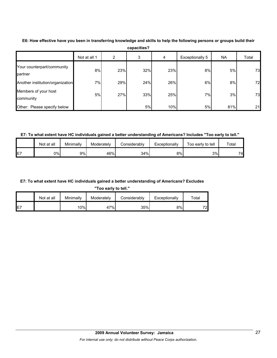|                                       | Not at all 1 | 2   | 3   | 4   | Exceptionally 5 | NA  | Total |
|---------------------------------------|--------------|-----|-----|-----|-----------------|-----|-------|
| Your counterpart/community<br>partner | 8%           | 23% | 32% | 23% | 8%              | 5%  | 73    |
| Another institution/organization      | 7%           | 29% | 24% | 26% | 6%              | 8%  | 72    |
| Members of your host<br>community     | 5%           | 27% | 33% | 25% | 7%              | 3%  | 73    |
| Other: Please specify below           |              |     | 5%  | 10% | 5%              | 81% | 21    |

**E6: How effective have you been in transferring knowledge and skills to help the following persons or groups build their capacities?**

**E7: To what extent have HC individuals gained a better understanding of Americans? Includes "Too early to tell."**

|    | Not at all | Minimally | Moderately | Considerably | Exceptionally | Too early to tell | Total |
|----|------------|-----------|------------|--------------|---------------|-------------------|-------|
| E7 | 0%l        | 9%        | 46%        | 34%          | 8%            | 3%                | 74    |

#### **E7: To what extent have HC individuals gained a better understanding of Americans? Excludes**

**"Too early to tell."**

|     | Not at all | Minimally | Moderately | Considerablv | Exceptionally | $\tau$ otal |
|-----|------------|-----------|------------|--------------|---------------|-------------|
| IE7 |            | ا%0       | 47%        | 35%          | 8%            | 72.         |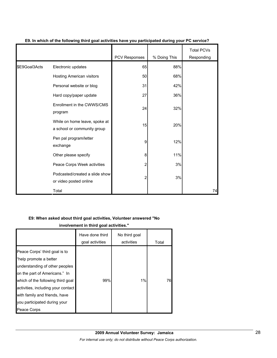|               |                                                              | PCV Responses | % Doing This | <b>Total PCVs</b><br>Responding |
|---------------|--------------------------------------------------------------|---------------|--------------|---------------------------------|
| \$E9Goal3Acts | Electronic updates                                           | 65            | 88%          |                                 |
|               | Hosting American visitors                                    | 50            | 68%          |                                 |
|               | Personal website or blog                                     | 31            | 42%          |                                 |
|               | Hard copy/paper update                                       | 27            | 36%          |                                 |
|               | Enrollment in the CWWS/CMS<br>program                        | 24            | 32%          |                                 |
|               | While on home leave, spoke at<br>a school or community group | 15            | 20%          |                                 |
|               | Pen pal program/letter<br>exchange                           | 9             | 12%          |                                 |
|               | Other please specify                                         | 8             | 11%          |                                 |
|               | Peace Corps Week activities                                  | 2             | 3%           |                                 |
|               | Podcasted/created a slide show<br>or video posted online     | 2             | 3%           |                                 |
|               | Total                                                        |               |              | 74                              |

## **E9. In which of the following third goal activities have you participated during your PC service?**

#### **E9: When asked about third goal activities, Volunteer answered "No**

**involvement in third goal activities."** 

|                                                                                                                                                                                                                                                                                       | Have done third<br>goal activities | No third goal<br>activities | Total |
|---------------------------------------------------------------------------------------------------------------------------------------------------------------------------------------------------------------------------------------------------------------------------------------|------------------------------------|-----------------------------|-------|
| Peace Corps' third goal is to<br>"help promote a better<br>understanding of other peoples<br>on the part of Americans." In<br>which of the following third goal<br>activities, including your contact<br>with family and friends, have<br>you participated during your<br>Peace Corps | 99%                                | 1%                          | 76I   |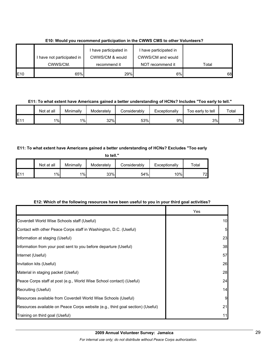|     |                            | I have participated in | I have participated in |       |
|-----|----------------------------|------------------------|------------------------|-------|
|     | I have not participated in | CWWS/CM & would        | CWWS/CM and would      |       |
|     | CWWS/CM.                   | recommend it           | NOT recommend it       | Total |
| E10 | 65%                        | 29%                    | 6%                     | 68    |

**E10: Would you recommend participation in the CWWS CMS to other Volunteers?**

**E11: To what extent have Americans gained a better understanding of HCNs? Includes "Too early to tell."**

|     | Not at all | Minimallv | Moderately | Considerably | Exceptionally | Too early to tell | Total |
|-----|------------|-----------|------------|--------------|---------------|-------------------|-------|
| E1' | $1\%$      | $1\%$     | 32%        | 53%          | 9%            | 3%                | 74    |

## **E11: To what extent have Americans gained a better understanding of HCNs? Excludes "Too early**

| to tell." |            |           |            |              |               |       |
|-----------|------------|-----------|------------|--------------|---------------|-------|
|           | Not at all | Minimally | Moderately | Considerably | Exceptionally | Total |
| IE11      | $1\%$      | 1%        | 33%        | 54%          | 10%           | 72    |

## **E12: Which of the following resources have been useful to you in your third goal activities?**

|                                                                                | Yes |
|--------------------------------------------------------------------------------|-----|
| Coverdell World Wise Schools staff (Useful)                                    | 10  |
| Contact with other Peace Corps staff in Washington, D.C. (Useful)              | 5   |
| Information at staging (Useful)                                                | 23  |
| Information from your post sent to you before departure (Useful)               | 38  |
| Internet (Useful)                                                              | 57  |
| Invitation kits (Useful)                                                       | 26  |
| Material in staging packet (Useful)                                            | 28  |
| Peace Corps staff at post (e.g., World Wise School contact) (Useful)           | 24  |
| Recruiting (Useful)                                                            | 14  |
| Resources available from Coverdell World Wise Schools (Useful)                 | 9   |
| Resources available on Peace Corps website (e.g., third goal section) (Useful) | 21  |
| Training on third goal (Useful)                                                | 11  |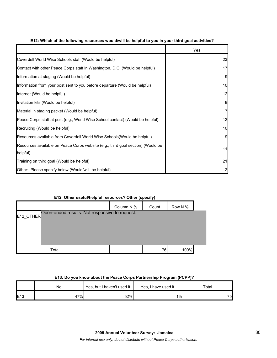|                                                                                             | Yes |
|---------------------------------------------------------------------------------------------|-----|
| Coverdell World Wise Schools staff (Would be helpful)                                       | 23  |
| Contact with other Peace Corps staff in Washington, D.C. (Would be helpful)                 | 17  |
| Information at staging (Would be helpful)                                                   | 9   |
| Information from your post sent to you before departure (Would be helpful)                  | 10  |
| Internet (Would be helpful)                                                                 | 12  |
| Invitation kits (Would be helpful)                                                          | 8   |
| Material in staging packet (Would be helpful)                                               | 7   |
| Peace Corps staff at post (e.g., World Wise School contact) (Would be helpful)              | 12  |
| Recruiting (Would be helpful)                                                               | 10  |
| Resources available from Coverdell World Wise Schools (Would be helpful)                    | 9   |
| Resources available on Peace Corps website (e.g., third goal section) (Would be<br>helpful) | 11  |
| Training on third goal (Would be helpful)                                                   | 21  |
| Other: Please specify below (Would/will be helpful)                                         |     |

## **E12: Which of the following resources would/will be helpful to you in your third goal activities?**

## **E12: Other useful/helpful resources? Other (specify)**

|                                                             |       | Column N % | Count | Row N % |  |  |
|-------------------------------------------------------------|-------|------------|-------|---------|--|--|
| Open-ended results. Not responsive to request.<br>E12_OTHER |       |            |       |         |  |  |
|                                                             |       |            |       |         |  |  |
|                                                             |       |            |       |         |  |  |
|                                                             |       |            |       |         |  |  |
|                                                             | Total |            | 76I   | 100%    |  |  |

#### **E13: Do you know about the Peace Corps Partnership Program (PCPP)?**

|     | No  | Yes, but I haven't used it. | Yes.<br>I have used it. | Total |
|-----|-----|-----------------------------|-------------------------|-------|
| E13 | 47% | 52%                         | $1\%$                   | 75    |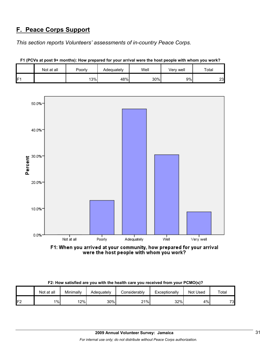## **F. Peace Corps Support**

*This section reports Volunteers' assessments of in-country Peace Corps.* 

|    | Not at all | Poorly | Adequately | Well | Verv well | Total |
|----|------------|--------|------------|------|-----------|-------|
| Е۰ |            | 13%    | 48%        | 30%  | 9%        | 23    |





F1: When you arrived at your community, how prepared for your arrival were the host people with whom you work?

|  |  | F2: How satisfied are you with the health care you received from your PCMO(s)? |
|--|--|--------------------------------------------------------------------------------|
|--|--|--------------------------------------------------------------------------------|

|    | Not at all | Minimallv | Adequately | onsiderablyٽ | Exceptionally | Not Used | Total |
|----|------------|-----------|------------|--------------|---------------|----------|-------|
| 口つ | 1%         | 12%       | 30%        | 21%          | 32%           | 4%       | 73    |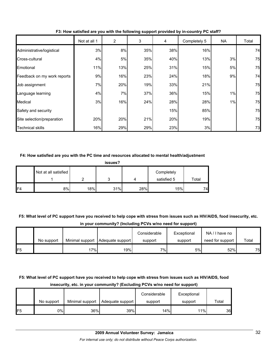|                             | Not at all 1 | 2   | 3   | 4   | Completely 5 | NA | Total |
|-----------------------------|--------------|-----|-----|-----|--------------|----|-------|
| Administrative/logistical   | 3%           | 8%  | 35% | 38% | 16%          |    | 74    |
| Cross-cultural              | 4%           | 5%  | 35% | 40% | 13%          | 3% | 75    |
| Emotional                   | 11%          | 13% | 25% | 31% | 15%          | 5% | 75    |
| Feedback on my work reports | 9%           | 16% | 23% | 24% | 18%          | 9% | 74    |
| Job assignment              | 7%           | 20% | 19% | 33% | 21%          |    | 75    |
| Language learning           | 4%           | 7%  | 37% | 36% | 15%          | 1% | 75    |
| Medical                     | 3%           | 16% | 24% | 28% | 28%          | 1% | 75    |
| Safety and security         |              |     |     | 15% | 85%          |    | 75    |
| Site selection/preparation  | 20%          | 20% | 21% | 20% | 19%          |    | 75    |
| <b>Technical skills</b>     | 16%          | 29% | 29% | 23% | 3%           |    | 73    |

**F3: How satisfied are you with the following support provided by in-country PC staff?**

### **F4: How satisfied are you with the PC time and resources allocated to mental health/adjustment**

|                | issues?              |     |     |     |                           |       |  |  |
|----------------|----------------------|-----|-----|-----|---------------------------|-------|--|--|
|                | Not at all satisfied | ◠   | 3   |     | Completely<br>satisfied 5 | Total |  |  |
| F <sub>4</sub> | 8%                   | 18% | 31% | 28% | 15%                       | 74    |  |  |

**F5: What level of PC support have you received to help cope with stress from issues such as HIV/AIDS, food insecurity, etc. in your community? (Including PCVs w/no need for support)**

|                 |            |     |                                    | Considerable | Exceptional | NA/I have no     |       |
|-----------------|------------|-----|------------------------------------|--------------|-------------|------------------|-------|
|                 | No support |     | Minimal support   Adequate support | support      | support     | need for support | Total |
| IF <sub>5</sub> |            | 7%1 | 19%                                | 7%           | 5%          | 52%              | 75    |

## **F5: What level of PC support have you received to help cope with stress from issues such as HIV/AIDS, food insecurity, etc. in your community? (Excluding PCVs w/no need for support)**

|     |            |                 |                         | Considerable | Exceptional |                 |
|-----|------------|-----------------|-------------------------|--------------|-------------|-----------------|
|     | No support | Minimal support | <b>Adequate support</b> | support      | support     | Total           |
| IF5 | 0%I        | 36%             | 39%                     | 14%          | 11%         | 36 <sup>l</sup> |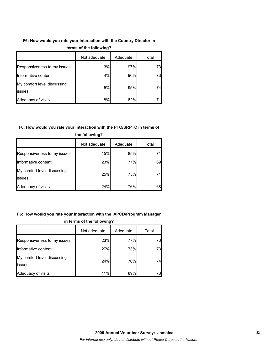## **F6: How would you rate your interaction with the Country Director in**

|                                              | Not adequate | Adequate | Total |  |
|----------------------------------------------|--------------|----------|-------|--|
| Responsiveness to my issues                  | 3%           | 97%      | 73    |  |
| Informative content                          | 4%           | 96%      | 73    |  |
| My comfort level discussing<br><b>issues</b> | 5%           | 95%      | 74    |  |
| Adequacy of visits                           | 18%          | 82%      | 71    |  |

#### **terms of the following?**

### **F6: How would you rate your interaction with the PTO/SRPTC in terms of**

|                                              | Not adequate | Adequate | Total |  |  |
|----------------------------------------------|--------------|----------|-------|--|--|
| Responsiveness to my issues                  | 15%          | 85%      |       |  |  |
| Informative content                          | 23%          | 77%      | 69    |  |  |
| My comfort level discussing<br><b>issues</b> | 25%          | 75%      | 71    |  |  |
| Adequacy of visits                           | 24%          | 76%      | 68    |  |  |

## **the following?**

## **F6: How would you rate your interaction with the APCD/Program Manager in terms of the following?**

|                                       | Not adequate | Adequate | Total |
|---------------------------------------|--------------|----------|-------|
| Responsiveness to my issues           | 23%          | 77%      | 73    |
| Informative content                   | 27%          | 73%      | 73    |
| My comfort level discussing<br>issues | 24%          | 76%      | 74    |
| Adequacy of visits                    | 11%          | 89%      | 73    |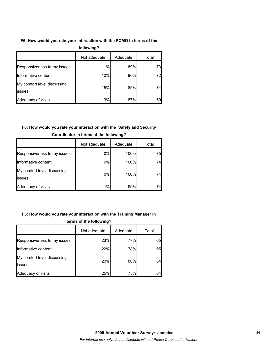## **F6: How would you rate your interaction with the PCMO in terms of the**

| following?                            |              |          |       |  |  |  |
|---------------------------------------|--------------|----------|-------|--|--|--|
|                                       | Not adequate | Adequate | Total |  |  |  |
| Responsiveness to my issues           | 11%          | 89%      | 73    |  |  |  |
| Informative content                   | 10%          | 90%      | 72    |  |  |  |
| My comfort level discussing<br>issues | 15%          | 85%      | 74    |  |  |  |
| Adequacy of visits                    | 13%          | 87%      | 69    |  |  |  |

## **F6: How would you rate your interaction with the Safety and Security**

|                                               | Not adequate | Adequate | Total |
|-----------------------------------------------|--------------|----------|-------|
| Responsiveness to my issues                   | 0%           | 100%     | 75    |
| Informative content                           | 0%           | 100%     | 74    |
| My comfort level discussing<br><b>lissues</b> | $0\%$        | 100%     | 74    |
| Adequacy of visits                            | 1%           | 99%      | 74    |

## **Coordinator in terms of the following?**

## **F6: How would you rate your interaction with the Training Manager in**

| terms of the following?               |              |          |       |  |  |
|---------------------------------------|--------------|----------|-------|--|--|
|                                       | Not adequate | Adequate | Total |  |  |
| Responsiveness to my issues           | 23%          | 77%      | 65    |  |  |
| Informative content                   | 22%          | 78%      | 65    |  |  |
| My comfort level discussing<br>issues | 20%          | 80%      | 64    |  |  |
| Adequacy of visits                    | 25%          | 75%      | 64    |  |  |

## **2009 Annual Volunteer Survey: Jamaica**  *For internal use only; do not distribute without Peace Corps authorization.*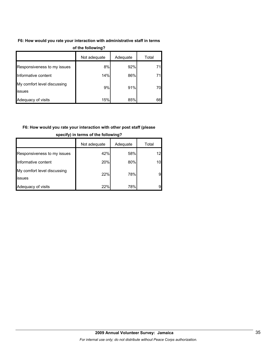## **F6: How would you rate your interaction with administrative staff in terms**

| $\sim$                                       |              |          |       |  |  |  |
|----------------------------------------------|--------------|----------|-------|--|--|--|
|                                              | Not adequate | Adequate | Total |  |  |  |
| Responsiveness to my issues                  | 8%           | 92%      | 71    |  |  |  |
| Informative content                          | 14%          | 86%      | 71    |  |  |  |
| My comfort level discussing<br><b>issues</b> | 9%           | 91%      | 70    |  |  |  |
| Adequacy of visits                           | 15%          | 85%      | 66    |  |  |  |

#### **of the following?**

## **F6: How would you rate your interaction with other post staff (please**

|                                       | Not adequate | Adequate | Total           |
|---------------------------------------|--------------|----------|-----------------|
| Responsiveness to my issues           | 42%          | 58%      | 12              |
| Informative content                   | 20%          | 80%      | 10 <sub>l</sub> |
| My comfort level discussing<br>issues | 22%          | 78%      | 9               |
| Adequacy of visits                    | 22%          | 78%      | 9               |

#### **specify) in terms of the following?**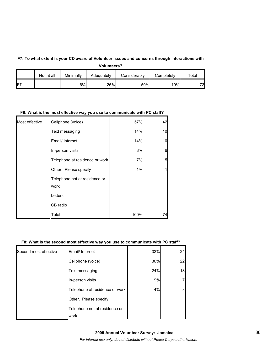#### **F7: To what extent is your CD aware of Volunteer issues and concerns through interactions with**

**Volunteers?**

|        | Not at all | Minimally | Adequatelv | Considerablv | Completely | $\tau$ otal |
|--------|------------|-----------|------------|--------------|------------|-------------|
| $IF^-$ |            | 6%        | 25%        | 50%          | 19%        | 72          |

#### **F8: What is the most effective way you use to communicate with PC staff?**

| Most effective | Cellphone (voice)                     | 57%  | 42             |
|----------------|---------------------------------------|------|----------------|
|                | Text messaging                        | 14%  | 10             |
|                | Email/ Internet                       | 14%  | 10             |
|                | In-person visits                      | 8%   | $6\phantom{1}$ |
|                | Telephone at residence or work        | 7%   | 5              |
|                | Other. Please specify                 | 1%   | 1              |
|                | Telephone not at residence or<br>work |      |                |
|                | Letters                               |      |                |
|                | CB radio                              |      |                |
|                | Total                                 | 100% | 74             |

#### **F8: What is the second most effective way you use to communicate with PC staff?**

|                       | Telephone not at residence or<br>work |     |    |
|-----------------------|---------------------------------------|-----|----|
|                       | Other. Please specify                 |     |    |
|                       | Telephone at residence or work        | 4%  |    |
|                       | In-person visits                      | 9%  |    |
|                       | Text messaging                        | 24% | 18 |
|                       | Cellphone (voice)                     | 30% | 22 |
| Second most effective | Email/ Internet                       | 32% | 24 |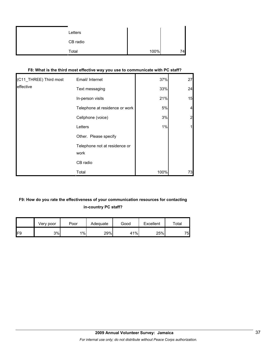| Letters  |      |     |
|----------|------|-----|
| CB radio |      |     |
| Total    | 100% | 74. |

| (C11_THREE) Third most | Email/ Internet                       | 37%  | 27             |
|------------------------|---------------------------------------|------|----------------|
| effective              | Text messaging                        | 33%  | 24             |
|                        | In-person visits                      | 21%  | 15             |
|                        | Telephone at residence or work        | 5%   | 4              |
|                        | Cellphone (voice)                     | 3%   | $\overline{2}$ |
|                        | Letters                               | 1%   |                |
|                        | Other. Please specify                 |      |                |
|                        | Telephone not at residence or<br>work |      |                |
|                        | CB radio                              |      |                |
|                        | Total                                 | 100% | 73             |

## **F8: What is the third most effective way you use to communicate with PC staff?**

## **F9: How do you rate the effectiveness of your communication resources for contacting in-country PC staff?**

|     | √erv poor | Poor  | Adequate | Good | Excellent | Total |
|-----|-----------|-------|----------|------|-----------|-------|
| IF9 | 3%        | $1\%$ | 29%      | 41%  | 25%       | 75    |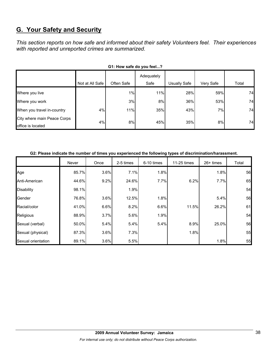## **G. Your Safety and Security**

*This section reports on how safe and informed about their safety Volunteers feel. Their experiences with reported and unreported crimes are summarized.* 

| <b>Primers and you reduce</b>                    |                 |            |                    |                     |           |       |  |  |  |
|--------------------------------------------------|-----------------|------------|--------------------|---------------------|-----------|-------|--|--|--|
|                                                  | Not at All Safe | Often Safe | Adequately<br>Safe | <b>Usually Safe</b> | Very Safe | Total |  |  |  |
| Where you live                                   |                 | 1%         | 11%                | 28%                 | 59%       | 74    |  |  |  |
| Where you work                                   |                 | 3%         | 8%                 | 36%                 | 53%       | 74    |  |  |  |
| When you travel in-country                       | 4%              | 11%        | 35%                | 43%                 | 7%        | 74    |  |  |  |
| City where main Peace Corps<br>office is located | 4%              | 8%         | 45%                | 35%                 | 8%        | 74    |  |  |  |

#### **G2: Please indicate the number of times you experienced the following types of discrimination/harassment.**

|                    | Never | Once | 2-5 times | 6-10 times | 11-25 times | $26+$ times | Total |
|--------------------|-------|------|-----------|------------|-------------|-------------|-------|
| Age                | 85.7% | 3.6% | 7.1%      | 1.8%       |             | 1.8%        | 56    |
| Anti-American      | 44.6% | 9.2% | 24.6%     | 7.7%       | 6.2%        | 7.7%        | 65    |
| <b>Disability</b>  | 98.1% |      | 1.9%      |            |             |             | 54    |
| Gender             | 76.8% | 3.6% | 12.5%     | 1.8%       |             | 5.4%        | 56    |
| Racial/color       | 41.0% | 6.6% | 8.2%      | 6.6%       | 11.5%       | 26.2%       | 61    |
| Religious          | 88.9% | 3.7% | 5.6%      | 1.9%       |             |             | 54    |
| Sexual (verbal)    | 50.0% | 5.4% | 5.4%      | 5.4%       | 8.9%        | 25.0%       | 56    |
| Sexual (physical)  | 87.3% | 3.6% | 7.3%      |            | 1.8%        |             | 55    |
| Sexual orientation | 89.1% | 3.6% | 5.5%      |            |             | 1.8%        | 55    |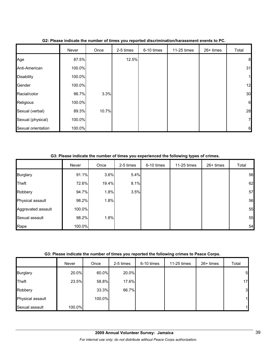|                    | Never  | Once  | 2-5 times | 6-10 times | 11-25 times | 26+ times | Total           |
|--------------------|--------|-------|-----------|------------|-------------|-----------|-----------------|
| Age                | 87.5%  |       | 12.5%     |            |             |           | 8               |
| Anti-American      | 100.0% |       |           |            |             |           | 31              |
| <b>Disability</b>  | 100.0% |       |           |            |             |           | 1               |
| Gender             | 100.0% |       |           |            |             |           | 12              |
| Racial/color       | 96.7%  | 3.3%  |           |            |             |           | 30              |
| Religious          | 100.0% |       |           |            |             |           | 6               |
| Sexual (verbal)    | 89.3%  | 10.7% |           |            |             |           | 28              |
| Sexual (physical)  | 100.0% |       |           |            |             |           | 7               |
| Sexual orientation | 100.0% |       |           |            |             |           | $6\phantom{.}6$ |

## **G2: Please indicate the number of times you reported discrimination/harassment events to PC.**

**G3: Please indicate the number of times you experienced the following types of crimes.**

|                    | Never  | Once  | 2-5 times | 6-10 times | 11-25 times | $26+$ times | Total |
|--------------------|--------|-------|-----------|------------|-------------|-------------|-------|
| <b>Burglary</b>    | 91.1%  | 3.6%  | 5.4%      |            |             |             | 56    |
| Theft              | 72.6%  | 19.4% | 8.1%      |            |             |             | 62    |
| Robbery            | 94.7%  | 1.8%  | 3.5%      |            |             |             | 57    |
| Physical assault   | 98.2%  | 1.8%  |           |            |             |             | 56    |
| Aggravated assault | 100.0% |       |           |            |             |             | 55    |
| Sexual assault     | 98.2%  | 1.8%  |           |            |             |             | 55    |
| Rape               | 100.0% |       |           |            |             |             | 54    |

| G3: Please indicate the number of times you reported the following crimes to Peace Corps. |  |
|-------------------------------------------------------------------------------------------|--|
|                                                                                           |  |

|                  | Never  | Once   | 2-5 times | 6-10 times | 11-25 times | $26+$ times | Total          |
|------------------|--------|--------|-----------|------------|-------------|-------------|----------------|
| <b>Burglary</b>  | 20.0%  | 60.0%  | 20.0%     |            |             |             | 5 <sub>l</sub> |
| Theft            | 23.5%  | 58.8%  | 17.6%     |            |             |             | 17             |
| Robbery          |        | 33.3%  | 66.7%     |            |             |             | 3              |
| Physical assault |        | 100.0% |           |            |             |             | $\mathbf{1}$   |
| Sexual assault   | 100.0% |        |           |            |             |             | 11             |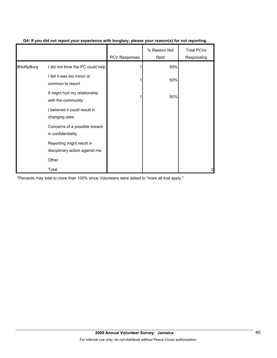|            |                                                             | <b>PCV Responses</b> | % Reason Not<br>Rptd | <b>Total PCVs</b><br>Responding |
|------------|-------------------------------------------------------------|----------------------|----------------------|---------------------------------|
| \$NoRpBurg | I did not think the PC could help                           |                      | 50%                  |                                 |
|            | I felt it was too minor or<br>common to report              |                      | 50%                  |                                 |
|            | It might hurt my relationship<br>with the community         |                      | 50%                  |                                 |
|            | I believed it could result in<br>changing sites             |                      |                      |                                 |
|            | Concerns of a possible breach<br>in confidentiality         |                      |                      |                                 |
|            | Reporting might result in<br>disciplinary action against me |                      |                      |                                 |
|            | Other                                                       |                      |                      |                                 |
|            | Total                                                       |                      |                      | 2                               |

### **G4: If you did not report your experience with burglary, please your reason(s) for not reporting.**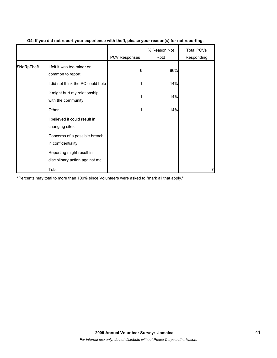|             |                                                             | PCV Responses | % Reason Not<br>Rptd | <b>Total PCVs</b><br>Responding |
|-------------|-------------------------------------------------------------|---------------|----------------------|---------------------------------|
| \$NoRpTheft | I felt it was too minor or<br>common to report              | 6             | 86%                  |                                 |
|             | I did not think the PC could help                           |               | 14%                  |                                 |
|             | It might hurt my relationship<br>with the community         |               | 14%                  |                                 |
|             | Other                                                       |               | 14%                  |                                 |
|             | I believed it could result in<br>changing sites             |               |                      |                                 |
|             | Concerns of a possible breach<br>in confidentiality         |               |                      |                                 |
|             | Reporting might result in<br>disciplinary action against me |               |                      |                                 |
|             | Total                                                       |               |                      |                                 |

## **G4: If you did not report your experience with theft, please your reason(s) for not reporting.**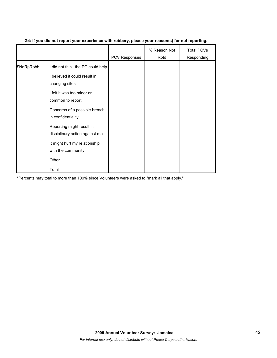|            |                                                             | <b>PCV Responses</b> | % Reason Not<br>Rptd | <b>Total PCVs</b><br>Responding |
|------------|-------------------------------------------------------------|----------------------|----------------------|---------------------------------|
| \$NoRpRobb | I did not think the PC could help                           |                      |                      |                                 |
|            | I believed it could result in<br>changing sites             |                      |                      |                                 |
|            | I felt it was too minor or<br>common to report              |                      |                      |                                 |
|            | Concerns of a possible breach<br>in confidentiality         |                      |                      |                                 |
|            | Reporting might result in<br>disciplinary action against me |                      |                      |                                 |
|            | It might hurt my relationship<br>with the community         |                      |                      |                                 |
|            | Other                                                       |                      |                      |                                 |
|            | Total                                                       |                      |                      |                                 |

## **G4: If you did not report your experience with robbery, please your reason(s) for not reporting.**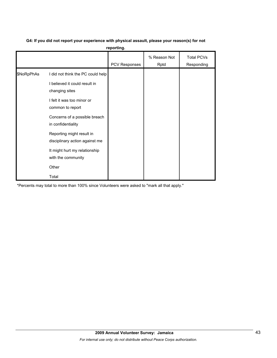## **G4: If you did not report your experience with physical assault, please your reason(s) for not**

**reporting.**

|            |                                                                                                                                                                                                                                                              | PCV Responses | % Reason Not<br>Rptd | <b>Total PCVs</b><br>Responding |
|------------|--------------------------------------------------------------------------------------------------------------------------------------------------------------------------------------------------------------------------------------------------------------|---------------|----------------------|---------------------------------|
| \$NoRpPhAs | I did not think the PC could help<br>I believed it could result in<br>changing sites<br>I felt it was too minor or<br>common to report<br>Concerns of a possible breach<br>in confidentiality<br>Reporting might result in<br>disciplinary action against me |               |                      |                                 |
|            | It might hurt my relationship<br>with the community<br>Other<br>Total                                                                                                                                                                                        |               |                      |                                 |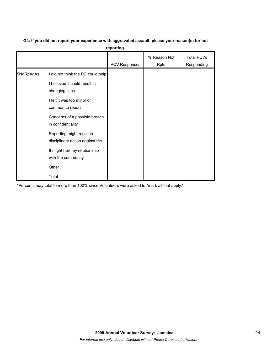# **G4: If you did not report your experience with aggravated assault, please your reason(s) for not**

**reporting.**

|            |                                                                                                                                                                                                                                                                                                                              | PCV Responses | % Reason Not<br>Rptd | <b>Total PCVs</b><br>Responding |
|------------|------------------------------------------------------------------------------------------------------------------------------------------------------------------------------------------------------------------------------------------------------------------------------------------------------------------------------|---------------|----------------------|---------------------------------|
| \$NoRpAgAs | I did not think the PC could help<br>I believed it could result in<br>changing sites<br>I felt it was too minor or<br>common to report<br>Concerns of a possible breach<br>in confidentiality<br>Reporting might result in<br>disciplinary action against me<br>It might hurt my relationship<br>with the community<br>Other |               |                      |                                 |
|            | Total                                                                                                                                                                                                                                                                                                                        |               |                      |                                 |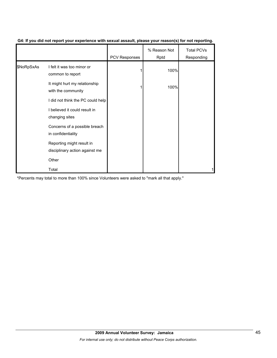|            |                                                             | <b>PCV Responses</b> | % Reason Not<br>Rptd | <b>Total PCVs</b><br>Responding |
|------------|-------------------------------------------------------------|----------------------|----------------------|---------------------------------|
| \$NoRpSxAs | I felt it was too minor or<br>common to report              |                      | 100%                 |                                 |
|            | It might hurt my relationship<br>with the community         |                      | 100%                 |                                 |
|            | I did not think the PC could help                           |                      |                      |                                 |
|            | I believed it could result in<br>changing sites             |                      |                      |                                 |
|            | Concerns of a possible breach<br>in confidentiality         |                      |                      |                                 |
|            | Reporting might result in<br>disciplinary action against me |                      |                      |                                 |
|            | Other                                                       |                      |                      |                                 |
|            | Total                                                       |                      |                      |                                 |

### **G4: If you did not report your experience with sexual assault, please your reason(s) for not reporting.**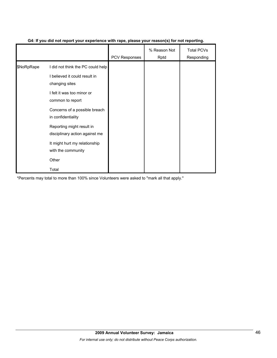|            |                                                             | <b>PCV Responses</b> | % Reason Not<br>Rptd | <b>Total PCVs</b><br>Responding |
|------------|-------------------------------------------------------------|----------------------|----------------------|---------------------------------|
| \$NoRpRape | I did not think the PC could help                           |                      |                      |                                 |
|            | I believed it could result in<br>changing sites             |                      |                      |                                 |
|            | I felt it was too minor or<br>common to report              |                      |                      |                                 |
|            | Concerns of a possible breach<br>in confidentiality         |                      |                      |                                 |
|            | Reporting might result in<br>disciplinary action against me |                      |                      |                                 |
|            | It might hurt my relationship<br>with the community         |                      |                      |                                 |
|            | Other                                                       |                      |                      |                                 |
|            | Total                                                       |                      |                      |                                 |

## **G4: If you did not report your experience with rape, please your reason(s) for not reporting.**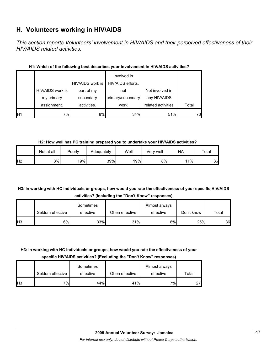## **H. Volunteers working in HIV/AIDS**

*This section reports Volunteers' involvement in HIV/AIDS and their perceived effectiveness of their HIV/AIDS related activities.* 

|                |                  | HIV/AIDS work is | Involved in<br>HIV/AIDS efforts, |                    |       |
|----------------|------------------|------------------|----------------------------------|--------------------|-------|
|                | HIV/AIDS work is | part of my       | not                              | Not involved in    |       |
|                | my primary       | secondary        | primary/secondary                | any HIV/AIDS       |       |
|                | assignment.      | activities.      | work                             | related activities | Total |
| H <sub>1</sub> | 7%l              | 8%               | 34%                              | 51%                | 73    |

## **H1: Which of the following best describes your involvement in HIV/AIDS activities?**

**H2: How well has PC training prepared you to undertake your HIV/AIDS activities?**

|                | Not at all | Poorly | Adequately | Well | Verv well | <b>NA</b> | $\tau$ otal |
|----------------|------------|--------|------------|------|-----------|-----------|-------------|
| H <sub>2</sub> | 3%         | 19%    | 39%        | 19%  | 8%        | 11%       | 36          |

## **H3: In working with HC individuals or groups, how would you rate the effectiveness of your specific HIV/AIDS activities? (Including the "Don't Know" responses)**

|            |                  | Sometimes |                 | Almost always |            |       |
|------------|------------------|-----------|-----------------|---------------|------------|-------|
|            | Seldom effective | effective | Often effective | effective     | Don't know | Total |
| <b>H</b> 3 | 6%               | 33%       | 31%             | 6%            | 25%        | 36    |

## **H3: In working with HC individuals or groups, how would you rate the effectiveness of your**

**specific HIV/AIDS activities? (Excluding the "Don't Know" responses)**

|                 | Seldom effective | Sometimes<br>effective | Often effective | Almost always<br>effective | Total |
|-----------------|------------------|------------------------|-----------------|----------------------------|-------|
| IH <sub>3</sub> | 7%1              | 44%                    | 41%             | 7%1                        | 27    |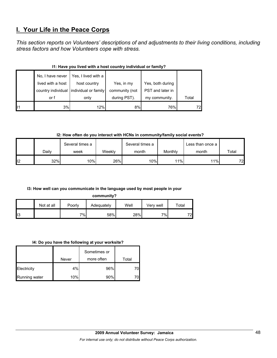## **I. Your Life in the Peace Corps**

*This section reports on Volunteers' descriptions of and adjustments to their living conditions, including stress factors and how Volunteers cope with stress.* 

|    | No, I have never  | Yes, I lived with a                     |                |                  |       |  |  |  |  |  |
|----|-------------------|-----------------------------------------|----------------|------------------|-------|--|--|--|--|--|
|    | lived with a host | host country                            | Yes, in my     | Yes, both during |       |  |  |  |  |  |
|    |                   | country individual individual or family | community (not | PST and later in |       |  |  |  |  |  |
|    | or f              | only                                    | during PST).   | my community.    | Total |  |  |  |  |  |
| 11 | 3%                | 12%                                     | 8%             | 76%              | 72    |  |  |  |  |  |

## **I1: Have you lived with a host country individual or family?**

**I2: How often do you interact with HCNs in community/family social events?**

|     |       | Several times a |        | Several times a |         | Less than once a |       |
|-----|-------|-----------------|--------|-----------------|---------|------------------|-------|
|     | Dailv | week            | Weekly | month           | Monthly | month            | Total |
| ll2 | 32%   | 10%             | 26%    | 10%             | 11%     | 11%              | 72    |

## **I3: How well can you communicate in the language used by most people in your**

**community?**

|     | Not at all | Poorly | Adequately | Well | Verv well | $\tau$ otal |
|-----|------------|--------|------------|------|-----------|-------------|
| II3 |            | 7%     | 58%        | 28%  | 7%        | 72          |

#### **I4: Do you have the following at your worksite?**

|               | Never | Sometimes or<br>more often | Total |
|---------------|-------|----------------------------|-------|
| Electricity   | 4%    | 96%                        |       |
| Running water | 10%   | 90%                        |       |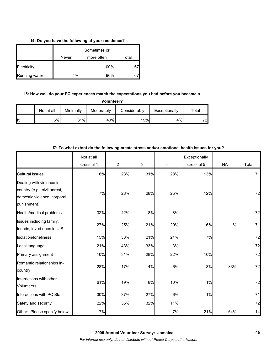### **I4: Do you have the following at your residence?**

|               |       | Sometimes or |       |
|---------------|-------|--------------|-------|
|               | Never | more often   | Total |
| Electricity   |       | 100%         | 67    |
| Running water | 4%    | 96%          | 67    |

## **I5: How well do your PC experiences match the expectations you had before you became a**

| Volunteer? |  |
|------------|--|
|------------|--|

|     | Not at all | Minimally | Moderately | Considerably | Exceptionally | $\tau$ otal |
|-----|------------|-----------|------------|--------------|---------------|-------------|
| II5 | 6%         | 31%       | 40%        | 19%          | 4%            | 72          |

|                                                                                                        | Not at all  |                |     |     | Exceptionally |           |       |
|--------------------------------------------------------------------------------------------------------|-------------|----------------|-----|-----|---------------|-----------|-------|
|                                                                                                        | stressful 1 | $\overline{2}$ | 3   | 4   | stressful 5   | <b>NA</b> | Total |
| <b>Cultural issues</b>                                                                                 | 6%          | 23%            | 31% | 28% | 13%           |           | 71    |
| Dealing with violence in<br>country (e.g., civil unrest,<br>domestic violence, corporal<br>punishment) | 7%          | 28%            | 28% | 25% | 12%           |           | 72    |
| Health/medical problems                                                                                | 32%         | 42%            | 18% | 8%  |               |           | 72    |
| Issues including family,<br>friends, loved ones in U.S.                                                | 27%         | 25%            | 21% | 20% | 6%            | 1%        | 71    |
| Isolation/loneliness                                                                                   | 15%         | 33%            | 21% | 24% | 7%            |           | 72    |
| Local language                                                                                         | 21%         | 43%            | 33% | 3%  |               |           | 72    |
| Primary assignment                                                                                     | 10%         | 31%            | 28% | 22% | 10%           |           | 72    |
| Romantic relationships in-<br>country                                                                  | 28%         | 17%            | 14% | 6%  | 3%            | 33%       | 72    |
| Interactions with other<br><b>Volunteers</b>                                                           | 61%         | 19%            | 8%  | 10% | $1\%$         |           | 72    |
| Interactions with PC Staff                                                                             | 30%         | 37%            | 27% | 6%  | 1%            |           | 71    |
| Safety and security                                                                                    | 22%         | 35%            | 32% | 11% |               |           | 72    |
| Other: Please specify below                                                                            | 7%          |                |     | 7%  | 21%           | 64%       | 14    |

## **I7: To what extent do the following create stress and/or emotional health issues for you?**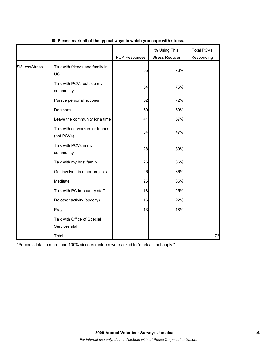|                |                                               | PCV Responses | % Using This<br><b>Stress Reducer</b> | <b>Total PCVs</b><br>Responding |
|----------------|-----------------------------------------------|---------------|---------------------------------------|---------------------------------|
| \$I8LessStress | Talk with friends and family in<br>US         | 55            | 76%                                   |                                 |
|                | Talk with PCVs outside my<br>community        | 54            | 75%                                   |                                 |
|                | Pursue personal hobbies                       | 52            | 72%                                   |                                 |
|                | Do sports                                     | 50            | 69%                                   |                                 |
|                | Leave the community for a time                | 41            | 57%                                   |                                 |
|                | Talk with co-workers or friends<br>(not PCVs) | 34            | 47%                                   |                                 |
|                | Talk with PCVs in my<br>community             | 28            | 39%                                   |                                 |
|                | Talk with my host family                      | 26            | 36%                                   |                                 |
|                | Get involved in other projects                | 26            | 36%                                   |                                 |
|                | Meditate                                      | 25            | 35%                                   |                                 |
|                | Talk with PC in-country staff                 | 18            | 25%                                   |                                 |
|                | Do other activity (specify)                   | 16            | 22%                                   |                                 |
|                | Pray                                          | 13            | 18%                                   |                                 |
|                | Talk with Office of Special<br>Services staff |               |                                       |                                 |
|                | Total                                         |               |                                       | 72                              |

### **I8: Please mark all of the typical ways in which you cope with stress.**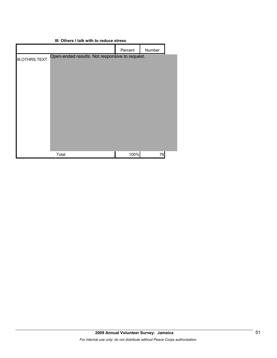|                      |                                                | Percent | Number |  |
|----------------------|------------------------------------------------|---------|--------|--|
| <b>I8.OTHRS.TEXT</b> | Open-ended results. Not responsive to request. |         |        |  |
|                      |                                                |         |        |  |
|                      |                                                |         |        |  |
|                      |                                                |         |        |  |
|                      |                                                |         |        |  |
|                      |                                                |         |        |  |
|                      |                                                |         |        |  |
|                      |                                                |         |        |  |
|                      |                                                |         |        |  |
|                      |                                                |         |        |  |
|                      | Total                                          | 100%    | 76     |  |
|                      |                                                |         |        |  |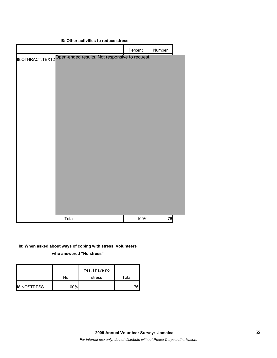| <b>18: Other activities to reduce stress</b> |                                                                 |         |        |  |
|----------------------------------------------|-----------------------------------------------------------------|---------|--------|--|
|                                              |                                                                 | Percent | Number |  |
|                                              | 18.OTHRACT.TEXT2 Open-ended results. Not responsive to request. |         |        |  |
|                                              |                                                                 |         |        |  |
|                                              |                                                                 |         |        |  |
|                                              |                                                                 |         |        |  |
|                                              |                                                                 |         |        |  |
|                                              |                                                                 |         |        |  |
|                                              |                                                                 |         |        |  |
|                                              |                                                                 |         |        |  |
|                                              |                                                                 |         |        |  |
|                                              |                                                                 |         |        |  |
|                                              |                                                                 |         |        |  |
|                                              |                                                                 |         |        |  |
|                                              |                                                                 |         |        |  |
|                                              |                                                                 |         |        |  |
|                                              |                                                                 |         |        |  |
|                                              |                                                                 |         |        |  |
|                                              |                                                                 |         |        |  |
|                                              |                                                                 |         |        |  |
|                                              | Total                                                           | 100%    | 76     |  |

## **I8: When asked about ways of coping with stress, Volunteers who answered "No stress"**

|                    | No   | Yes, I have no<br>stress | Total |
|--------------------|------|--------------------------|-------|
| <b>I8.NOSTRESS</b> | 100% |                          | 761   |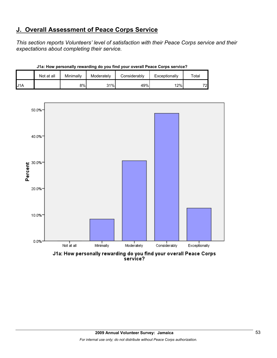## **J. Overall Assessment of Peace Corps Service**

*This section reports Volunteers' level of satisfaction with their Peace Corps service and their expectations about completing their service.* 

|     | Not at all | Minimally | Moderately | Considerably | Exceptionally | $\tau$ otar |
|-----|------------|-----------|------------|--------------|---------------|-------------|
| J1A |            | 8%        | 31%        | 49%          | 12%           | 72          |

**J1a: How personally rewarding do you find your overall Peace Corps service?**



J1a: How personally rewarding do you find your overall Peace Corps<br>service?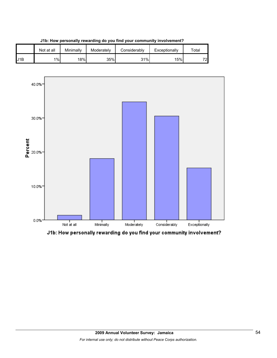

**J1b: How personally rewarding do you find your community involvement?**



J1b: How personally rewarding do you find your community involvement?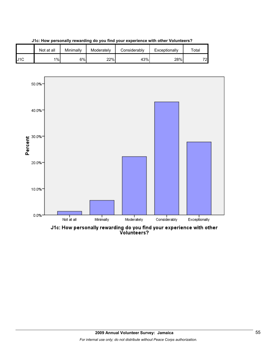

**J1c: How personally rewarding do you find your experience with other Volunteers?**



J1c: How personally rewarding do you find your experience with other<br>Volunteers?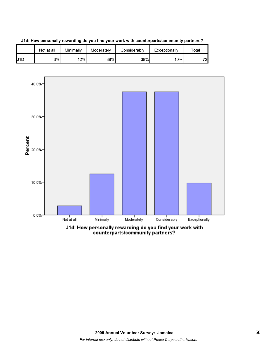



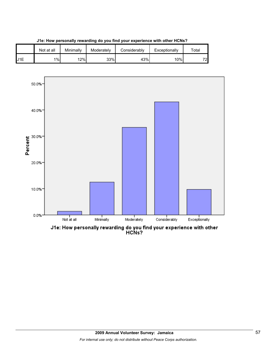





J1e: How personally rewarding do you find your experience with other<br>HCNs?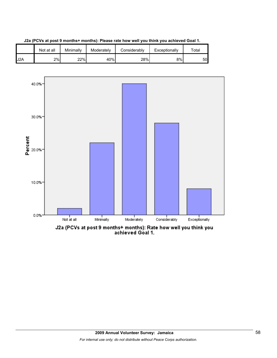



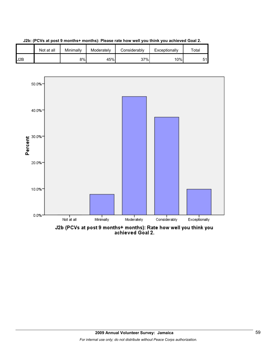



**J2b: (PCVs at post 9 months+ months): Please rate how well you think you achieved Goal 2.**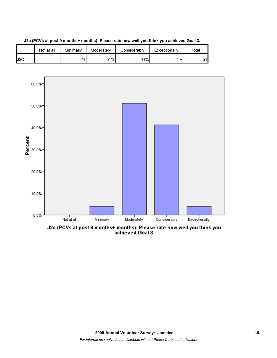





J2c (PCVs at post 9 months+ months): Please rate how well you think you<br>achieved Goal 3.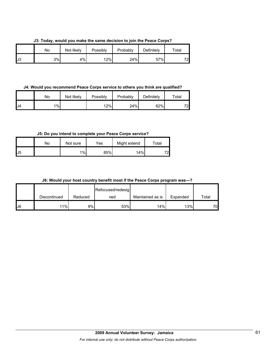**J3: Today, would you make the same decision to join the Peace Corps?**

|    | Nο | Not likely | Possibly | Probably | Definitely | $\tau$ otal |
|----|----|------------|----------|----------|------------|-------------|
| J3 | 3% | 4%         | 12%      | 24%      | 57%        | 701<br>∼    |

**J4: Would you recommend Peace Corps service to others you think are qualified?**

|    | No    | Not likely | Possibly | Probably | Definitely | $\tau$ otal |
|----|-------|------------|----------|----------|------------|-------------|
| J4 | $1\%$ |            | 12%      | 24%      | 62%        | 72          |

**J5: Do you intend to complete your Peace Corps service?**

|                   | No | Not sure | Yes | Might extend | $\tau$ otal |
|-------------------|----|----------|-----|--------------|-------------|
| $\mathsf{L}^{15}$ |    | 1%       | 85% | 14%          | 72          |

| J6: Would your host country benefit most if the Peace Corps program was---? |  |
|-----------------------------------------------------------------------------|--|
|-----------------------------------------------------------------------------|--|

|     |              |         | Refocused/redesig |                  |          |       |
|-----|--------------|---------|-------------------|------------------|----------|-------|
|     | Discontinued | Reduced | ned               | Maintained as is | Expanded | Total |
| IJ6 | 11%          | 9%      | 53%               | 14%              | 13%      | 70    |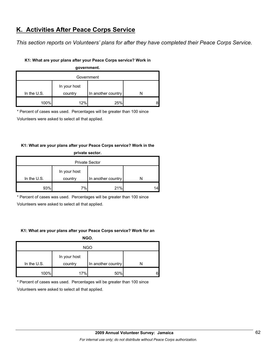## **K. Activities After Peace Corps Service**

*This section reports on Volunteers' plans for after they have completed their Peace Corps Service.* 

### **K1: What are your plans after your Peace Corps service? Work in**

| government.   |              |                    |  |  |  |  |
|---------------|--------------|--------------------|--|--|--|--|
| Government    |              |                    |  |  |  |  |
|               | In your host |                    |  |  |  |  |
| In the $U.S.$ | country      | In another country |  |  |  |  |
| 100%          | 12%          | 25%                |  |  |  |  |

\* Percent of cases was used. Percentages will be greater than 100 since

Volunteers were asked to select all that applied.

## **K1: What are your plans after your Peace Corps service? Work in the**

| private sector.       |              |                    |    |  |  |
|-----------------------|--------------|--------------------|----|--|--|
| <b>Private Sector</b> |              |                    |    |  |  |
|                       | In your host |                    |    |  |  |
| In the $U.S.$         | country      | In another country | N  |  |  |
| 93%                   | 7%           | 21%                | 14 |  |  |

\* Percent of cases was used. Percentages will be greater than 100 since

Volunteers were asked to select all that applied.

## **K1: What are your plans after your Peace Corps service? Work for an**

**NGO.**

| <b>NGO</b>    |                         |                    |   |  |  |
|---------------|-------------------------|--------------------|---|--|--|
| In the $U.S.$ | In your host<br>country | In another country |   |  |  |
| 100%          | 17%                     | 50%                | 6 |  |  |

\* Percent of cases was used. Percentages will be greater than 100 since

Volunteers were asked to select all that applied.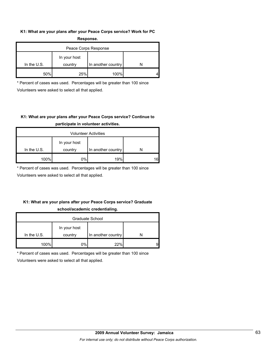#### **K1: What are your plans after your Peace Corps service? Work for PC Response.**

| -----------          |                         |                    |  |  |  |  |
|----------------------|-------------------------|--------------------|--|--|--|--|
| Peace Corps Response |                         |                    |  |  |  |  |
| In the $U.S.$        | In your host<br>country | In another country |  |  |  |  |
| 50%                  | 25%                     | 100%               |  |  |  |  |

\* Percent of cases was used. Percentages will be greater than 100 since Volunteers were asked to select all that applied.

## **K1: What are your plans after your Peace Corps service? Continue to participate in volunteer activities.**

| <b>Volunteer Activities</b> |              |                    |    |  |
|-----------------------------|--------------|--------------------|----|--|
|                             | In your host |                    |    |  |
| In the $U.S.$               | country      | In another country |    |  |
| 100%                        | 0%           | 19%                | 16 |  |

\* Percent of cases was used. Percentages will be greater than 100 since

Volunteers were asked to select all that applied.

## **K1: What are your plans after your Peace Corps service? Graduate school/academic credentialing.**

| Graduate School |              |                    |   |  |
|-----------------|--------------|--------------------|---|--|
|                 | In your host |                    |   |  |
| In the $U.S.$   | country      | In another country |   |  |
| 100%            | 0%l          | 22%                | 9 |  |

\* Percent of cases was used. Percentages will be greater than 100 since

Volunteers were asked to select all that applied.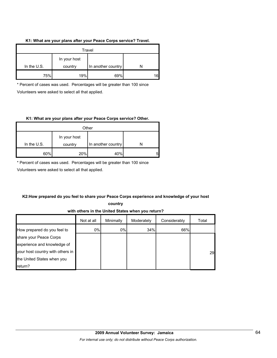#### **K1: What are your plans after your Peace Corps service? Travel.**

| Travel        |                         |                    |     |  |
|---------------|-------------------------|--------------------|-----|--|
| In the $U.S.$ | In your host<br>country | In another country |     |  |
| 75%           | 19%                     | 69%                | 161 |  |

\* Percent of cases was used. Percentages will be greater than 100 since Volunteers were asked to select all that applied.

#### **K1: What are your plans after your Peace Corps service? Other.**

| Other         |                         |                    |   |  |
|---------------|-------------------------|--------------------|---|--|
| In the $U.S.$ | In your host<br>country | In another country |   |  |
| 60%           | 20%                     | 40%                | 5 |  |

\* Percent of cases was used. Percentages will be greater than 100 since

Volunteers were asked to select all that applied.

## **K2:How prepared do you feel to share your Peace Corps experience and knowledge of your host**

**country** 

## **with others in the United States when you return?**

|                                  | Not at all | Minimally | Moderately | Considerably | Total |
|----------------------------------|------------|-----------|------------|--------------|-------|
| How prepared do you feel to      | 0%         | 0%        | 34%        | 66%          |       |
| share your Peace Corps           |            |           |            |              |       |
| experience and knowledge of      |            |           |            |              |       |
| your host country with others in |            |           |            |              | 29    |
| the United States when you       |            |           |            |              |       |
| return?                          |            |           |            |              |       |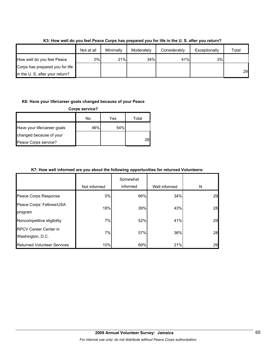|                                 | Not at all | Minimally | Moderately | Considerably | Exceptionally | Total |
|---------------------------------|------------|-----------|------------|--------------|---------------|-------|
| How well do you feel Peace      | 0%l        | 21%       | 34%        | 41%          | 3%            |       |
| Corps has prepared you for life |            |           |            |              |               |       |
| in the U.S. after your return?  |            |           |            |              |               | 29    |

**K3: How well do you feel Peace Corps has prepared you for life in the U. S. after you return?**

#### **K6: Have your life/career goals changed because of your Peace**

| <b>Corps service?</b>       |     |     |       |  |
|-----------------------------|-----|-----|-------|--|
|                             | No  | Yes | Total |  |
| Have your life/career goals | 46% | 54% |       |  |
| changed because of your     |     |     |       |  |
| Peace Corps service?        |     |     | 28    |  |

## **K7: How well informed are you about the following opportunities for returned Volunteers:**

|                                                  | Not informed | Somewhat<br>informed | Well informed | N  |
|--------------------------------------------------|--------------|----------------------|---------------|----|
| Peace Corps Response                             | 0%           | 66%                  | 34%           | 29 |
| Peace Corps' Fellows/USA<br>program              | 18%          | 39%                  | 43%           | 28 |
| Noncompetitive eligibility                       | 7%           | 52%                  | 41%           | 29 |
| <b>RPCV Career Center in</b><br>Washington, D.C. | 7%           | 57%                  | 36%           | 28 |
| <b>Returned Volunteer Services</b>               | 10%          | 69%                  | 21%           | 29 |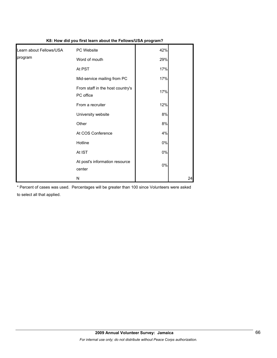|                         | $10.100$ and $100$ mot four $\alpha$          |       |    |
|-------------------------|-----------------------------------------------|-------|----|
| Learn about Fellows/USA | PC Website                                    | 42%   |    |
| program                 | Word of mouth                                 | 29%   |    |
|                         | At PST                                        | 17%   |    |
|                         | Mid-service mailing from PC                   | 17%   |    |
|                         | From staff in the host country's<br>PC office | 17%   |    |
|                         | From a recruiter                              | 12%   |    |
|                         | University website                            | 8%    |    |
|                         | Other                                         | 8%    |    |
|                         | At COS Conference                             | 4%    |    |
|                         | Hotline                                       | $0\%$ |    |
|                         | At IST                                        | $0\%$ |    |
|                         | At post's information resource<br>center      | $0\%$ |    |
|                         | N                                             |       | 24 |

## **K8: How did you first learn about the Fellows/USA program?**

\* Percent of cases was used. Percentages will be greater than 100 since Volunteers were asked to select all that applied.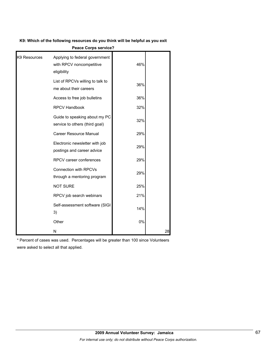**K9: Which of the following resources do you think will be helpful as you exit** 

| K9 Resources | Applying to federal government<br>with RPCV noncompetitive<br>eligibility | 46% |    |
|--------------|---------------------------------------------------------------------------|-----|----|
|              | List of RPCVs willing to talk to<br>me about their careers                | 36% |    |
|              | Access to free job bulletins                                              | 36% |    |
|              | <b>RPCV Handbook</b>                                                      | 32% |    |
|              | Guide to speaking about my PC<br>service to others (third goal)           | 32% |    |
|              | Career Resource Manual                                                    | 29% |    |
|              | Electronic newsletter with job<br>postings and career advice              | 29% |    |
|              | RPCV career conferences                                                   | 29% |    |
|              | <b>Connection with RPCVs</b><br>through a mentoring program               | 29% |    |
|              | <b>NOT SURE</b>                                                           | 25% |    |
|              | RPCV job search webinars                                                  | 21% |    |
|              | Self-assessment software (SIGI<br>3)                                      | 14% |    |
|              | Other                                                                     | 0%  |    |
|              | Ν                                                                         |     | 28 |

**Peace Corps service?**

\* Percent of cases was used. Percentages will be greater than 100 since Volunteers were asked to select all that applied.